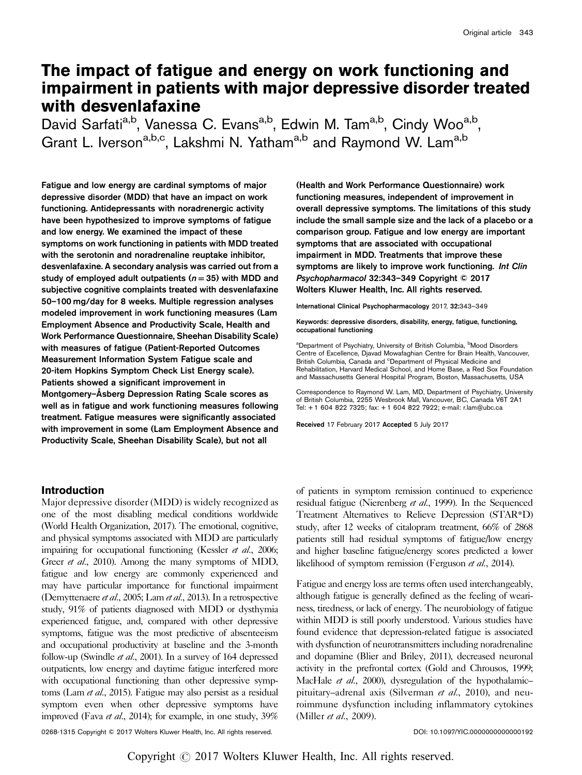# The impact of fatigue and energy on work functioning and impairment in patients with major depressive disorder treated with desvenlafaxine

David Sarfati<sup>a,b</sup>, Vanessa C. Evans<sup>a,b</sup>, Edwin M. Tam<sup>a,b</sup>, Cindy Woo<sup>a,b</sup>, Grant L. Iverson<sup>a,b,c</sup>, Lakshmi N. Yatham<sup>a,b</sup> and Raymond W. Lam<sup>a,b</sup>

Fatigue and low energy are cardinal symptoms of major depressive disorder (MDD) that have an impact on work functioning. Antidepressants with noradrenergic activity have been hypothesized to improve symptoms of fatigue and low energy. We examined the impact of these symptoms on work functioning in patients with MDD treated with the serotonin and noradrenaline reuptake inhibitor, desvenlafaxine. A secondary analysis was carried out from a study of employed adult outpatients ( $n = 35$ ) with MDD and subjective cognitive complaints treated with desvenlafaxine 50–100 mg/day for 8 weeks. Multiple regression analyses modeled improvement in work functioning measures (Lam Employment Absence and Productivity Scale, Health and Work Performance Questionnaire, Sheehan Disability Scale) with measures of fatigue (Patient-Reported Outcomes Measurement Information System Fatigue scale and 20-item Hopkins Symptom Check List Energy scale). Patients showed a significant improvement in Montgomery–Åsberg Depression Rating Scale scores as well as in fatigue and work functioning measures following treatment. Fatigue measures were significantly associated with improvement in some (Lam Employment Absence and Productivity Scale, Sheehan Disability Scale), but not all

(Health and Work Performance Questionnaire) work functioning measures, independent of improvement in overall depressive symptoms. The limitations of this study include the small sample size and the lack of a placebo or a comparison group. Fatigue and low energy are important symptoms that are associated with occupational impairment in MDD. Treatments that improve these symptoms are likely to improve work functioning. Int Clin Psychopharmacol 32:343–349 Copyright © 2017 Wolters Kluwer Health, Inc. All rights reserved.

International Clinical Psychopharmacology 2017, 32:343–349

Keywords: depressive disorders, disability, energy, fatigue, functioning, occupational functioning

<sup>a</sup>Department of Psychiatry, University of British Columbia, <sup>b</sup>Mood Disorders Centre of Excellence, Djavad Mowafaghian Centre for Brain Health, Vancouver, British Columbia, Canada and <sup>c</sup>Department of Physical Medicine and Rehabilitation, Harvard Medical School, and Home Base, a Red Sox Foundation and Massachusetts General Hospital Program, Boston, Massachusetts, USA

Correspondence to Raymond W. Lam, MD, Department of Psychiatry, University of British Columbia, 2255 Wesbrook Mall, Vancouver, BC, Canada V6T 2A1 Tel: + 1 604 822 7325; fax: + 1 604 822 7922; e-mail: [r.lam@ubc.ca](mailto:r.lam@ubc.ca)

Received 17 February 2017 Accepted 5 July 2017

# Introduction

Major depressive disorder (MDD) is widely recognized as one of the most disabling medical conditions worldwide [\(World Health Organization, 2017\)](#page-6-0). The emotional, cognitive, and physical symptoms associated with MDD are particularly impairing for occupational functioning [\(Kessler](#page-6-0) *et al.*, 2006; Greer *et al.*[, 2010](#page-6-0)). Among the many symptoms of MDD, fatigue and low energy are commonly experienced and may have particular importance for functional impairment [\(Demyttenaere](#page-5-0) et al., 2005; Lam et al.[, 2013\)](#page-6-0). In a retrospective study, 91% of patients diagnosed with MDD or dysthymia experienced fatigue, and, compared with other depressive symptoms, fatigue was the most predictive of absenteeism and occupational productivity at baseline and the 3-month follow-up [\(Swindle](#page-6-0) et al., 2001). In a survey of 164 depressed outpatients, low energy and daytime fatigue interfered more with occupational functioning than other depressive symp-toms (Lam et al.[, 2015\)](#page-6-0). Fatigue may also persist as a residual symptom even when other depressive symptoms have improved (Fava et al.[, 2014](#page-5-0)); for example, in one study, 39%

of patients in symptom remission continued to experience residual fatigue ([Nierenberg](#page-6-0) et al., 1999). In the Sequenced Treatment Alternatives to Relieve Depression (STAR\*D) study, after 12 weeks of citalopram treatment, 66% of 2868 patients still had residual symptoms of fatigue/low energy and higher baseline fatigue/energy scores predicted a lower likelihood of symptom remission [\(Ferguson](#page-5-0) *et al.*, 2014).

Fatigue and energy loss are terms often used interchangeably, although fatigue is generally defined as the feeling of weariness, tiredness, or lack of energy. The neurobiology of fatigue within MDD is still poorly understood. Various studies have found evidence that depression-related fatigue is associated with dysfunction of neurotransmitters including noradrenaline and dopamine [\(Blier and Briley, 2011\)](#page-5-0), decreased neuronal activity in the prefrontal cortex [\(Gold and Chrousos, 1999](#page-6-0); [MacHale](#page-6-0) et al., 2000), dysregulation of the hypothalamic-pituitary–adrenal axis [\(Silverman](#page-6-0) et al., 2010), and neuroimmune dysfunction including inflammatory cytokines [\(Miller](#page-6-0) *et al.*, 2009).

0268-1315 Copyright © 2017 Wolters Kluwer Health, Inc. All rights reserved. <br>
DOI: 10.1097/YIC.00000000000000192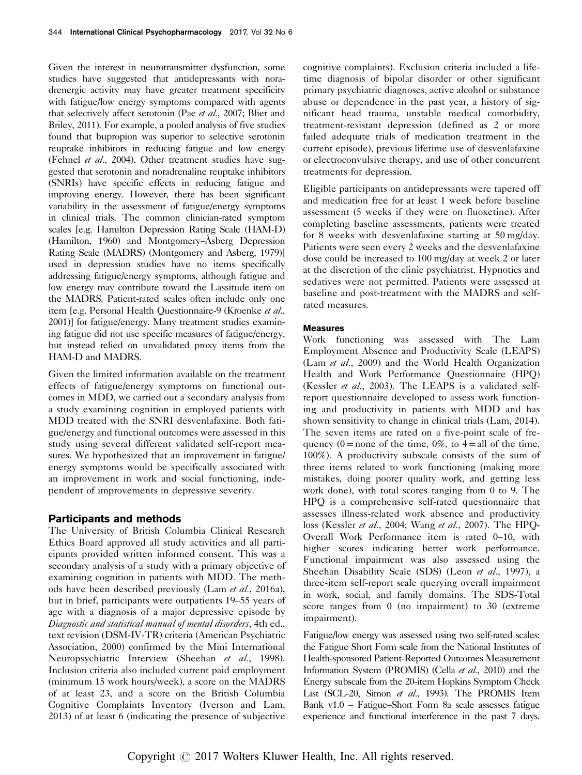Given the interest in neurotransmitter dysfunction, some studies have suggested that antidepressants with noradrenergic activity may have greater treatment specificity with fatigue/low energy symptoms compared with agents that selectively affect serotonin (Pae et al.[, 2007](#page-6-0); [Blier and](#page-5-0) [Briley, 2011\)](#page-5-0). For example, a pooled analysis of five studies found that bupropion was superior to selective serotonin reuptake inhibitors in reducing fatigue and low energy [\(Fehnel](#page-5-0) *et al.*, 2004). Other treatment studies have suggested that serotonin and noradrenaline reuptake inhibitors (SNRIs) have specific effects in reducing fatigue and improving energy. However, there has been significant variability in the assessment of fatigue/energy symptoms in clinical trials. The common clinician-rated symptom scales [e.g. Hamilton Depression Rating Scale (HAM-D) [\(Hamilton, 1960](#page-6-0)) and Montgomery–Åsberg Depression Rating Scale (MADRS) [\(Montgomery and Asberg, 1979\)](#page-6-0)] used in depression studies have no items specifically addressing fatigue/energy symptoms, although fatigue and low energy may contribute toward the Lassitude item on the MADRS. Patient-rated scales often include only one item [e.g. Personal Health Questionnaire-9 [\(Kroenke](#page-6-0) et al., [2001\)](#page-6-0)] for fatigue/energy. Many treatment studies examining fatigue did not use specific measures of fatigue/energy, but instead relied on unvalidated proxy items from the HAM-D and MADRS.

Given the limited information available on the treatment effects of fatigue/energy symptoms on functional outcomes in MDD, we carried out a secondary analysis from a study examining cognition in employed patients with MDD treated with the SNRI desvenlafaxine. Both fatigue/energy and functional outcomes were assessed in this study using several different validated self-report measures. We hypothesized that an improvement in fatigue/ energy symptoms would be specifically associated with an improvement in work and social functioning, independent of improvements in depressive severity.

# Participants and methods

The University of British Columbia Clinical Research Ethics Board approved all study activities and all participants provided written informed consent. This was a secondary analysis of a study with a primary objective of examining cognition in patients with MDD. The methods have been described previously (Lam et al.[, 2016a](#page-6-0)), but in brief, participants were outpatients 19–55 years of age with a diagnosis of a major depressive episode by Diagnostic and statistical manual of mental disorders, 4th ed., text revision (DSM-IV-TR) criteria [\(American Psychiatric](#page-5-0) [Association, 2000\)](#page-5-0) confirmed by the Mini International Neuropsychiatric Interview ([Sheehan](#page-6-0) et al., 1998). Inclusion criteria also included current paid employment (minimum 15 work hours/week), a score on the MADRS of at least 23, and a score on the British Columbia Cognitive Complaints Inventory [\(Iverson and Lam,](#page-6-0) [2013\)](#page-6-0) of at least 6 (indicating the presence of subjective cognitive complaints). Exclusion criteria included a lifetime diagnosis of bipolar disorder or other significant primary psychiatric diagnoses, active alcohol or substance abuse or dependence in the past year, a history of significant head trauma, unstable medical comorbidity, treatment-resistant depression (defined as 2 or more failed adequate trials of medication treatment in the current episode), previous lifetime use of desvenlafaxine or electroconvulsive therapy, and use of other concurrent treatments for depression.

Eligible participants on antidepressants were tapered off and medication free for at least 1 week before baseline assessment (5 weeks if they were on fluoxetine). After completing baseline assessments, patients were treated for 8 weeks with desvenlafaxine starting at 50 mg/day. Patients were seen every 2 weeks and the desvenlafaxine dose could be increased to 100 mg/day at week 2 or later at the discretion of the clinic psychiatrist. Hypnotics and sedatives were not permitted. Patients were assessed at baseline and post-treatment with the MADRS and selfrated measures.

# Measures

Work functioning was assessed with The Lam Employment Absence and Productivity Scale (LEAPS) (Lam et al.[, 2009](#page-6-0)) and the World Health Organization Health and Work Performance Questionnaire (HPQ) [\(Kessler](#page-6-0) et al., 2003). The LEAPS is a validated selfreport questionnaire developed to assess work functioning and productivity in patients with MDD and has shown sensitivity to change in clinical trials [\(Lam, 2014](#page-6-0)). The seven items are rated on a five-point scale of frequency  $(0 = none$  of the time,  $0\%$ , to  $4 = all$  of the time, 100%). A productivity subscale consists of the sum of three items related to work functioning (making more mistakes, doing poorer quality work, and getting less work done), with total scores ranging from 0 to 9. The HPQ is a comprehensive self-rated questionnaire that assesses illness-related work absence and productivity loss [\(Kessler](#page-6-0) et al., 2004; Wang et al.[, 2007\)](#page-6-0). The HPQ-Overall Work Performance item is rated 0–10, with higher scores indicating better work performance. Functional impairment was also assessed using the Sheehan Disability Scale (SDS) (Leon et al.[, 1997\)](#page-6-0), a three-item self-report scale querying overall impairment in work, social, and family domains. The SDS-Total score ranges from 0 (no impairment) to 30 (extreme impairment).

Fatigue/low energy was assessed using two self-rated scales: the Fatigue Short Form scale from the National Institutes of Health-sponsored Patient-Reported Outcomes Measurement Information System (PROMIS) (Cella et al.[, 2010](#page-5-0)) and the Energy subscale from the 20-item Hopkins Symptom Check List (SCL-20, Simon et al.[, 1993\)](#page-6-0). The PROMIS Item Bank v1.0 – Fatigue–Short Form 8a scale assesses fatigue experience and functional interference in the past 7 days.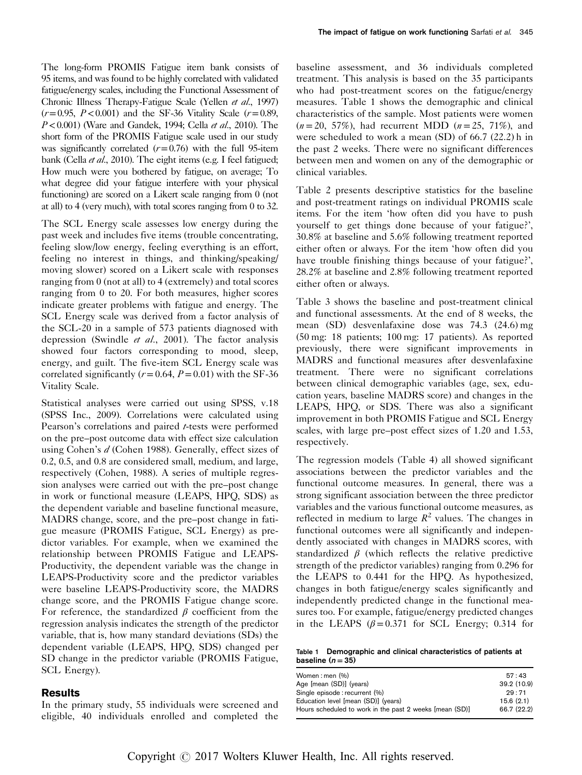The long-form PROMIS Fatigue item bank consists of 95 items, and was found to be highly correlated with validated fatigue/energy scales, including the Functional Assessment of Chronic Illness Therapy-Fatigue Scale (Yellen et al.[, 1997\)](#page-6-0)  $(r=0.95, P<0.001)$  and the SF-36 Vitality Scale  $(r=0.89, P<0.001)$  $P < 0.001$ ) [\(Ware and Gandek, 1994](#page-6-0); Cella *et al.*[, 2010](#page-5-0)). The short form of the PROMIS Fatigue scale used in our study was significantly correlated  $(r=0.76)$  with the full 95-item bank (Cella *et al.*[, 2010](#page-5-0)). The eight items (e.g. I feel fatigued; How much were you bothered by fatigue, on average; To what degree did your fatigue interfere with your physical functioning) are scored on a Likert scale ranging from 0 (not at all) to 4 (very much), with total scores ranging from 0 to 32.

The SCL Energy scale assesses low energy during the past week and includes five items (trouble concentrating, feeling slow/low energy, feeling everything is an effort, feeling no interest in things, and thinking/speaking/ moving slower) scored on a Likert scale with responses ranging from 0 (not at all) to 4 (extremely) and total scores ranging from 0 to 20. For both measures, higher scores indicate greater problems with fatigue and energy. The SCL Energy scale was derived from a factor analysis of the SCL-20 in a sample of 573 patients diagnosed with depression ([Swindle](#page-6-0) et al., 2001). The factor analysis showed four factors corresponding to mood, sleep, energy, and guilt. The five-item SCL Energy scale was correlated significantly ( $r = 0.64$ ,  $P = 0.01$ ) with the SF-36 Vitality Scale.

Statistical analyses were carried out using SPSS, v.18 [\(SPSS Inc., 2009](#page-6-0)). Correlations were calculated using Pearson's correlations and paired t-tests were performed on the pre–post outcome data with effect size calculation using Cohen's d [\(Cohen 1988\)](#page-5-0). Generally, effect sizes of 0.2, 0.5, and 0.8 are considered small, medium, and large, respectively [\(Cohen, 1988\)](#page-5-0). A series of multiple regression analyses were carried out with the pre–post change in work or functional measure (LEAPS, HPQ, SDS) as the dependent variable and baseline functional measure, MADRS change, score, and the pre–post change in fatigue measure (PROMIS Fatigue, SCL Energy) as predictor variables. For example, when we examined the relationship between PROMIS Fatigue and LEAPS-Productivity, the dependent variable was the change in LEAPS-Productivity score and the predictor variables were baseline LEAPS-Productivity score, the MADRS change score, and the PROMIS Fatigue change score. For reference, the standardized  $\beta$  coefficient from the regression analysis indicates the strength of the predictor variable, that is, how many standard deviations (SDs) the dependent variable (LEAPS, HPQ, SDS) changed per SD change in the predictor variable (PROMIS Fatigue, SCL Energy).

# Results

In the primary study, 55 individuals were screened and eligible, 40 individuals enrolled and completed the baseline assessment, and 36 individuals completed treatment. This analysis is based on the 35 participants who had post-treatment scores on the fatigue/energy measures. Table 1 shows the demographic and clinical characteristics of the sample. Most patients were women  $(n= 20, 57\%)$ , had recurrent MDD  $(n = 25, 71\%)$ , and were scheduled to work a mean (SD) of 66.7 (22.2) h in the past 2 weeks. There were no significant differences between men and women on any of the demographic or clinical variables.

[Table 2](#page-3-0) presents descriptive statistics for the baseline and post-treatment ratings on individual PROMIS scale items. For the item 'how often did you have to push yourself to get things done because of your fatigue?', 30.8% at baseline and 5.6% following treatment reported either often or always. For the item 'how often did you have trouble finishing things because of your fatigue?', 28.2% at baseline and 2.8% following treatment reported either often or always.

[Table 3](#page-3-0) shows the baseline and post-treatment clinical and functional assessments. At the end of 8 weeks, the mean (SD) desvenlafaxine dose was 74.3 (24.6) mg (50 mg: 18 patients; 100 mg: 17 patients). As reported previously, there were significant improvements in MADRS and functional measures after desvenlafaxine treatment. There were no significant correlations between clinical demographic variables (age, sex, education years, baseline MADRS score) and changes in the LEAPS, HPQ, or SDS. There was also a significant improvement in both PROMIS Fatigue and SCL Energy scales, with large pre–post effect sizes of 1.20 and 1.53, respectively.

The regression models [\(Table 4](#page-4-0)) all showed significant associations between the predictor variables and the functional outcome measures. In general, there was a strong significant association between the three predictor variables and the various functional outcome measures, as reflected in medium to large  $R^2$  values. The changes in functional outcomes were all significantly and independently associated with changes in MADRS scores, with standardized  $\beta$  (which reflects the relative predictive strength of the predictor variables) ranging from 0.296 for the LEAPS to 0.441 for the HPQ. As hypothesized, changes in both fatigue/energy scales significantly and independently predicted change in the functional measures too. For example, fatigue/energy predicted changes in the LEAPS  $(\beta = 0.371)$  for SCL Energy; 0.314 for

| Table 1 Demographic and clinical characteristics of patients at |  |  |
|-----------------------------------------------------------------|--|--|
| baseline ( $n = 35$ )                                           |  |  |

| Women:men (%)                                           | 57:43       |
|---------------------------------------------------------|-------------|
| Age [mean (SD)] (years)                                 | 39.2 (10.9) |
| Single episode : recurrent (%)                          | 29:71       |
| Education level [mean (SD)] (years)                     | 15.6(2.1)   |
| Hours scheduled to work in the past 2 weeks [mean (SD)] | 66.7 (22.2) |
|                                                         |             |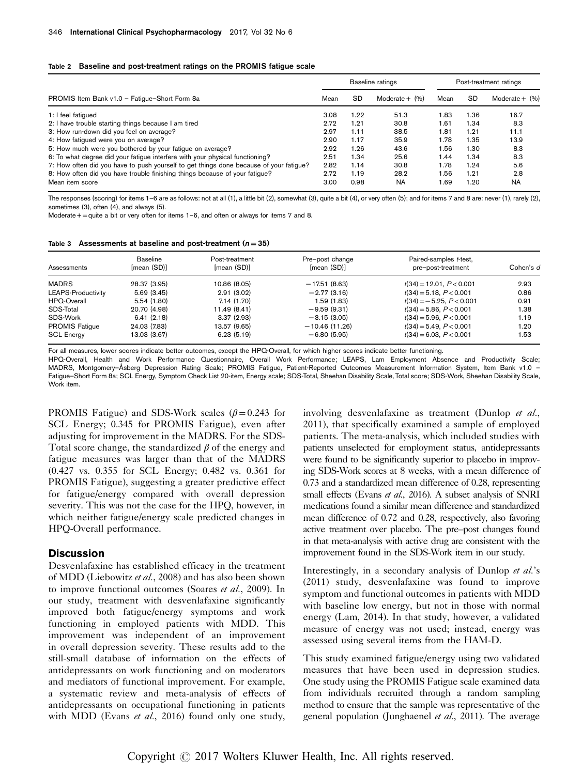#### <span id="page-3-0"></span>Table 2 Baseline and post-treatment ratings on the PROMIS fatigue scale

|                                                                                        | Baseline ratings |           |                   | Post-treatment ratings |           |                     |
|----------------------------------------------------------------------------------------|------------------|-----------|-------------------|------------------------|-----------|---------------------|
| PROMIS Item Bank v1.0 - Fatigue-Short Form 8a                                          |                  | <b>SD</b> | Moderate $+$ $(%$ | Mean                   | <b>SD</b> | Moderate $+$ $(%$ ) |
| 1: I feel fatiqued                                                                     | 3.08             | 1.22      | 51.3              | 1.83                   | 1.36      | 16.7                |
| 2: I have trouble starting things because I am tired                                   | 2.72             | 1.21      | 30.8              | 1.61                   | 1.34      | 8.3                 |
| 3: How run-down did you feel on average?                                               | 2.97             | 1.11      | 38.5              | 1.81                   | 1.21      | 11.1                |
| 4: How fatigued were you on average?                                                   | 2.90             | 1.17      | 35.9              | 1.78                   | 1.35      | 13.9                |
| 5: How much were you bothered by your fatigue on average?                              | 2.92             | 1.26      | 43.6              | .56                    | 1.30      | 8.3                 |
| 6: To what degree did your fatigue interfere with your physical functioning?           | 2.51             | 1.34      | 25.6              | .44                    | 1.34      | 8.3                 |
| 7: How often did you have to push yourself to get things done because of your fatigue? | 2.82             | 1.14      | 30.8              | 1.78                   | 1.24      | 5.6                 |
| 8: How often did you have trouble finishing things because of your fatigue?            | 2.72             | 1.19      | 28.2              | .56                    | 1.21      | 2.8                 |
| Mean item score                                                                        | 3.00             | 0.98      | <b>NA</b>         | 1.69                   | 1.20      | <b>NA</b>           |

The responses (scoring) for items 1–6 are as follows: not at all (1), a little bit (2), somewhat (3), quite a bit (4), or very often (5); and for items 7 and 8 are: never (1), rarely (2), sometimes (3), often (4), and always (5).

Moderate  $+$  = quite a bit or very often for items 1–6, and often or always for items 7 and 8.

|  |  |  | Table 3 Assessments at baseline and post-treatment ( $n = 35$ ) |  |
|--|--|--|-----------------------------------------------------------------|--|
|--|--|--|-----------------------------------------------------------------|--|

| Assessments               | <b>Baseline</b><br>Imean (SD)] | Post-treatment<br>[mean (SD)] | Pre-post change<br>Imean (SD)] | Paired-samples t-test,<br>pre-post-treatment | Cohen's d |
|---------------------------|--------------------------------|-------------------------------|--------------------------------|----------------------------------------------|-----------|
| <b>MADRS</b>              | 28.37 (3.95)                   | 10.86 (8.05)                  | $-17.51(8.63)$                 | $t(34) = 12.01, P < 0.001$                   | 2.93      |
| <b>LEAPS-Productivity</b> | 5.69(3.45)                     | 2.91(3.02)                    | $-2.77(3.16)$                  | $t(34) = 5.18$ , $P < 0.001$                 | 0.86      |
| HPQ-Overall               | 5.54(1.80)                     | 7.14(1.70)                    | 1.59 (1.83)                    | $t(34) = -5.25, P < 0.001$                   | 0.91      |
| SDS-Total                 | 20.70 (4.98)                   | 11.49 (8.41)                  | $-9.59(9.31)$                  | $t(34) = 5.86$ , $P < 0.001$                 | 1.38      |
| SDS-Work                  | 6.41(2.18)                     | 3.37(2.93)                    | $-3.15(3.05)$                  | $t(34) = 5.96, P < 0.001$                    | 1.19      |
| <b>PROMIS Fatique</b>     | 24.03 (7.83)                   | 13.57 (9.65)                  | $-10.46(11.26)$                | $t(34) = 5.49, P < 0.001$                    | 1.20      |
| <b>SCL Energy</b>         | 13.03 (3.67)                   | 6.23(5.19)                    | $-6.80(5.95)$                  | $t(34) = 6.03$ , $P < 0.001$                 | 1.53      |

For all measures, lower scores indicate better outcomes, except the HPQ-Overall, for which higher scores indicate better functioning.

HPQ-Overall, Health and Work Performance Questionnaire, Overall Work Performance; LEAPS, Lam Employment Absence and Productivity Scale; MADRS, Montgomery–Åsberg Depression Rating Scale; PROMIS Fatigue, Patient-Reported Outcomes Measurement Information System, Item Bank v1.0 – Fatigue–Short Form 8a; SCL Energy, Symptom Check List 20-item, Energy scale; SDS-Total, Sheehan Disability Scale, Total score; SDS-Work, Sheehan Disability Scale, Work item.

PROMIS Fatigue) and SDS-Work scales ( $\beta$  = 0.243 for SCL Energy; 0.345 for PROMIS Fatigue), even after adjusting for improvement in the MADRS. For the SDS-Total score change, the standardized  $\beta$  of the energy and fatigue measures was larger than that of the MADRS (0.427 vs. 0.355 for SCL Energy; 0.482 vs. 0.361 for PROMIS Fatigue), suggesting a greater predictive effect for fatigue/energy compared with overall depression severity. This was not the case for the HPQ, however, in which neither fatigue/energy scale predicted changes in HPQ-Overall performance.

## **Discussion**

Desvenlafaxine has established efficacy in the treatment of MDD ([Liebowitz](#page-6-0) et al., 2008) and has also been shown to improve functional outcomes [\(Soares](#page-6-0) et al., 2009). In our study, treatment with desvenlafaxine significantly improved both fatigue/energy symptoms and work functioning in employed patients with MDD. This improvement was independent of an improvement in overall depression severity. These results add to the still-small database of information on the effects of antidepressants on work functioning and on moderators and mediators of functional improvement. For example, a systematic review and meta-analysis of effects of antidepressants on occupational functioning in patients with MDD (Evans et al.[, 2016\)](#page-5-0) found only one study, involving desvenlafaxine as treatment ([Dunlop](#page-5-0) et al., [2011\)](#page-5-0), that specifically examined a sample of employed patients. The meta-analysis, which included studies with patients unselected for employment status, antidepressants were found to be significantly superior to placebo in improving SDS-Work scores at 8 weeks, with a mean difference of 0.73 and a standardized mean difference of 0.28, representing small effects (Evans et al.[, 2016\)](#page-5-0). A subset analysis of SNRI medications found a similar mean difference and standardized mean difference of 0.72 and 0.28, respectively, also favoring active treatment over placebo. The pre–post changes found in that meta-analysis with active drug are consistent with the improvement found in the SDS-Work item in our study.

Interestingly, in a secondary analysis of Dunlop et al.'s [\(2011\)](#page-5-0) study, desvenlafaxine was found to improve symptom and functional outcomes in patients with MDD with baseline low energy, but not in those with normal energy [\(Lam, 2014\)](#page-6-0). In that study, however, a validated measure of energy was not used; instead, energy was assessed using several items from the HAM-D.

This study examined fatigue/energy using two validated measures that have been used in depression studies. One study using the PROMIS Fatigue scale examined data from individuals recruited through a random sampling method to ensure that the sample was representative of the general population [\(Junghaenel](#page-6-0) et al., 2011). The average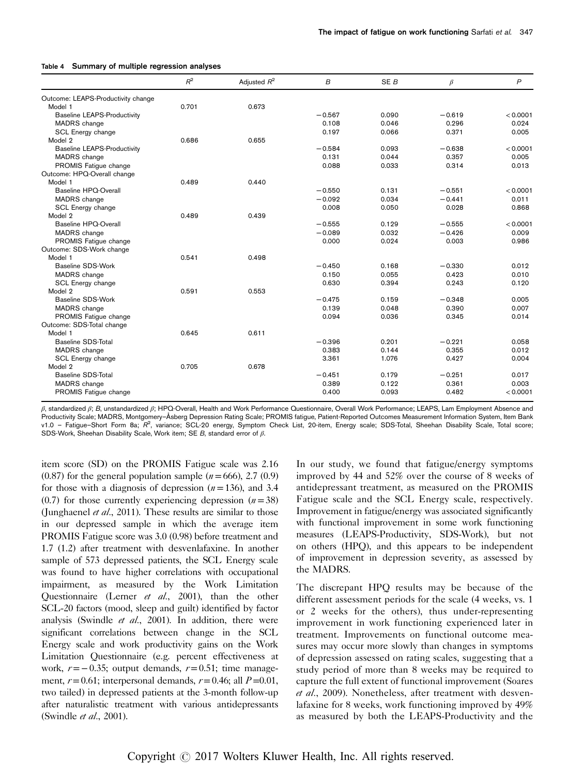|                                    | $R^2$ | Adjusted $R^2$ | B        | SE <sub>B</sub> | $\beta$  | $\mathsf{P}$ |
|------------------------------------|-------|----------------|----------|-----------------|----------|--------------|
| Outcome: LEAPS-Productivity change |       |                |          |                 |          |              |
| Model 1                            | 0.701 | 0.673          |          |                 |          |              |
| <b>Baseline LEAPS-Productivity</b> |       |                | $-0.567$ | 0.090           | $-0.619$ | < 0.0001     |
| MADRS change                       |       |                | 0.108    | 0.046           | 0.296    | 0.024        |
| SCL Energy change                  |       |                | 0.197    | 0.066           | 0.371    | 0.005        |
| Model 2                            | 0.686 | 0.655          |          |                 |          |              |
| <b>Baseline LEAPS-Productivity</b> |       |                | $-0.584$ | 0.093           | $-0.638$ | < 0.0001     |
| MADRS change                       |       |                | 0.131    | 0.044           | 0.357    | 0.005        |
| PROMIS Fatigue change              |       |                | 0.088    | 0.033           | 0.314    | 0.013        |
| Outcome: HPQ-Overall change        |       |                |          |                 |          |              |
| Model 1                            | 0.489 | 0.440          |          |                 |          |              |
| Baseline HPQ-Overall               |       |                | $-0.550$ | 0.131           | $-0.551$ | < 0.0001     |
| MADRS change                       |       |                | $-0.092$ | 0.034           | $-0.441$ | 0.011        |
| SCL Energy change                  |       |                | 0.008    | 0.050           | 0.028    | 0.868        |
| Model 2                            | 0.489 | 0.439          |          |                 |          |              |
| Baseline HPQ-Overall               |       |                | $-0.555$ | 0.129           | $-0.555$ | < 0.0001     |
| MADRS change                       |       |                | $-0.089$ | 0.032           | $-0.426$ | 0.009        |
| PROMIS Fatique change              |       |                | 0.000    | 0.024           | 0.003    | 0.986        |
| Outcome: SDS-Work change           |       |                |          |                 |          |              |
| Model 1                            | 0.541 | 0.498          |          |                 |          |              |
| Baseline SDS-Work                  |       |                | $-0.450$ | 0.168           | $-0.330$ | 0.012        |
| MADRS change                       |       |                | 0.150    | 0.055           | 0.423    | 0.010        |
| SCL Energy change                  |       |                | 0.630    | 0.394           | 0.243    | 0.120        |
| Model 2                            | 0.591 | 0.553          |          |                 |          |              |
| <b>Baseline SDS-Work</b>           |       |                | $-0.475$ | 0.159           | $-0.348$ | 0.005        |
| MADRS change                       |       |                | 0.139    | 0.048           | 0.390    | 0.007        |
| PROMIS Fatigue change              |       |                | 0.094    | 0.036           | 0.345    | 0.014        |
| Outcome: SDS-Total change          |       |                |          |                 |          |              |
| Model 1                            | 0.645 | 0.611          |          |                 |          |              |
| Baseline SDS-Total                 |       |                | $-0.396$ | 0.201           | $-0.221$ | 0.058        |
| MADRS change                       |       |                | 0.383    | 0.144           | 0.355    | 0.012        |
| SCL Energy change                  |       |                | 3.361    | 1.076           | 0.427    | 0.004        |
| Model 2                            | 0.705 | 0.678          |          |                 |          |              |
| Baseline SDS-Total                 |       |                | $-0.451$ | 0.179           | $-0.251$ | 0.017        |
| MADRS change                       |       |                | 0.389    | 0.122           | 0.361    | 0.003        |
| PROMIS Fatigue change              |       |                | 0.400    | 0.093           | 0.482    | < 0.0001     |

#### <span id="page-4-0"></span>Table 1 Summary of multiple regression analyses

β, standardized β; B, unstandardized β; HPQ-Overall, Health and Work Performance Questionnaire, Overall Work Performance; LEAPS, Lam Employment Absence and Productivity Scale; MADRS, Montgomery–Åsberg Depression Rating Scale; PROMIS fatigue, Patient-Reported Outcomes Measurement Information System, Item Bank v1.0 - Fatigue–Short Form 8a; R<sup>2</sup>, variance; SCL-20 energy, Symptom Check List, 20-item, Energy scale; SDS-Total, Sheehan Disability Scale, Total score; SDS-Work, Sheehan Disability Scale, Work item; SE B, standard error of β.

item score (SD) on the PROMIS Fatigue scale was 2.16  $(0.87)$  for the general population sample  $(n=666)$ , 2.7  $(0.9)$ for those with a diagnosis of depression  $(n=136)$ , and 3.4 (0.7) for those currently experiencing depression  $(n=38)$ [\(Junghaenel](#page-6-0)  $et$  al., 2011). These results are similar to those in our depressed sample in which the average item PROMIS Fatigue score was 3.0 (0.98) before treatment and 1.7 (1.2) after treatment with desvenlafaxine. In another sample of 573 depressed patients, the SCL Energy scale was found to have higher correlations with occupational impairment, as measured by the Work Limitation Questionnaire (Lerner *et al.*[, 2001\)](#page-6-0), than the other SCL-20 factors (mood, sleep and guilt) identified by factor analysis [\(Swindle](#page-6-0)  $et$  al., 2001). In addition, there were significant correlations between change in the SCL Energy scale and work productivity gains on the Work Limitation Questionnaire (e.g. percent effectiveness at work,  $r=-0.35$ ; output demands,  $r=0.51$ ; time management,  $r=0.61$ ; interpersonal demands,  $r=0.46$ ; all  $P=0.01$ , two tailed) in depressed patients at the 3-month follow-up after naturalistic treatment with various antidepressants [\(Swindle](#page-6-0) et al., 2001).

In our study, we found that fatigue/energy symptoms improved by 44 and 52% over the course of 8 weeks of antidepressant treatment, as measured on the PROMIS Fatigue scale and the SCL Energy scale, respectively. Improvement in fatigue/energy was associated significantly with functional improvement in some work functioning measures (LEAPS-Productivity, SDS-Work), but not on others (HPQ), and this appears to be independent of improvement in depression severity, as assessed by the MADRS.

The discrepant HPQ results may be because of the different assessment periods for the scale (4 weeks, vs. 1 or 2 weeks for the others), thus under-representing improvement in work functioning experienced later in treatment. Improvements on functional outcome measures may occur more slowly than changes in symptoms of depression assessed on rating scales, suggesting that a study period of more than 8 weeks may be required to capture the full extent of functional improvement [\(Soares](#page-6-0) et al.[, 2009](#page-6-0)). Nonetheless, after treatment with desvenlafaxine for 8 weeks, work functioning improved by 49% as measured by both the LEAPS-Productivity and the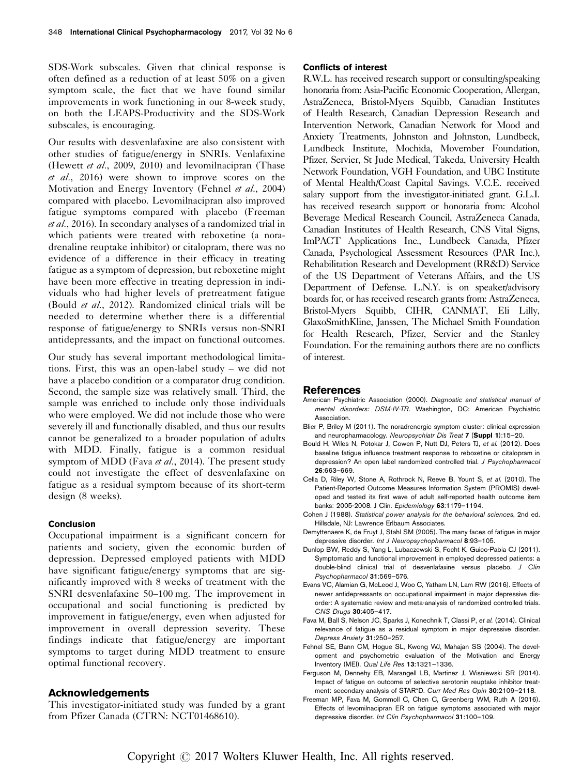<span id="page-5-0"></span>SDS-Work subscales. Given that clinical response is often defined as a reduction of at least 50% on a given symptom scale, the fact that we have found similar improvements in work functioning in our 8-week study, on both the LEAPS-Productivity and the SDS-Work subscales, is encouraging.

Our results with desvenlafaxine are also consistent with other studies of fatigue/energy in SNRIs. Venlafaxine (Hewett et al.[, 2009, 2010\)](#page-6-0) and levomilnacipran [\(Thase](#page-6-0) et al.[, 2016](#page-6-0)) were shown to improve scores on the Motivation and Energy Inventory (Fehnel et al., 2004) compared with placebo. Levomilnacipran also improved fatigue symptoms compared with placebo (Freeman et al., 2016). In secondary analyses of a randomized trial in which patients were treated with reboxetine (a noradrenaline reuptake inhibitor) or citalopram, there was no evidence of a difference in their efficacy in treating fatigue as a symptom of depression, but reboxetine might have been more effective in treating depression in individuals who had higher levels of pretreatment fatigue (Bould et al., 2012). Randomized clinical trials will be needed to determine whether there is a differential response of fatigue/energy to SNRIs versus non-SNRI antidepressants, and the impact on functional outcomes.

Our study has several important methodological limitations. First, this was an open-label study – we did not have a placebo condition or a comparator drug condition. Second, the sample size was relatively small. Third, the sample was enriched to include only those individuals who were employed. We did not include those who were severely ill and functionally disabled, and thus our results cannot be generalized to a broader population of adults with MDD. Finally, fatigue is a common residual symptom of MDD (Fava et al., 2014). The present study could not investigate the effect of desvenlafaxine on fatigue as a residual symptom because of its short-term design (8 weeks).

#### Conclusion

Occupational impairment is a significant concern for patients and society, given the economic burden of depression. Depressed employed patients with MDD have significant fatigue/energy symptoms that are significantly improved with 8 weeks of treatment with the SNRI desvenlafaxine 50–100 mg. The improvement in occupational and social functioning is predicted by improvement in fatigue/energy, even when adjusted for improvement in overall depression severity. These findings indicate that fatigue/energy are important symptoms to target during MDD treatment to ensure optimal functional recovery.

## Acknowledgements

This investigator-initiated study was funded by a grant from Pfizer Canada (CTRN: NCT01468610).

#### Conflicts of interest

R.W.L. has received research support or consulting/speaking honoraria from: Asia-Pacific Economic Cooperation, Allergan, AstraZeneca, Bristol-Myers Squibb, Canadian Institutes of Health Research, Canadian Depression Research and Intervention Network, Canadian Network for Mood and Anxiety Treatments, Johnston and Johnston, Lundbeck, Lundbeck Institute, Mochida, Movember Foundation, Pfizer, Servier, St Jude Medical, Takeda, University Health Network Foundation, VGH Foundation, and UBC Institute of Mental Health/Coast Capital Savings. V.C.E. received salary support from the investigator-initiated grant. G.L.I. has received research support or honoraria from: Alcohol Beverage Medical Research Council, AstraZeneca Canada, Canadian Institutes of Health Research, CNS Vital Signs, ImPACT Applications Inc., Lundbeck Canada, Pfizer Canada, Psychological Assessment Resources (PAR Inc.), Rehabilitation Research and Development (RR&D) Service of the US Department of Veterans Affairs, and the US Department of Defense. L.N.Y. is on speaker/advisory boards for, or has received research grants from: AstraZeneca, Bristol-Myers Squibb, CIHR, CANMAT, Eli Lilly, GlaxoSmithKline, Janssen, The Michael Smith Foundation for Health Research, Pfizer, Servier and the Stanley Foundation. For the remaining authors there are no conflicts of interest.

#### References

- American Psychiatric Association (2000). Diagnostic and statistical manual of mental disorders: DSM-IV-TR. Washington, DC: American Psychiatric Association.
- Blier P, Briley M (2011). The noradrenergic symptom cluster: clinical expression and neuropharmacology. Neuropsychiatr Dis Treat 7 (Suppl 1):15-20.
- Bould H, Wiles N, Potokar J, Cowen P, Nutt DJ, Peters TJ, et al. (2012). Does baseline fatigue influence treatment response to reboxetine or citalopram in depression? An open label randomized controlled trial. J Psychopharmacol 26:663–669.
- Cella D, Riley W, Stone A, Rothrock N, Reeve B, Yount S, et al. (2010). The Patient-Reported Outcome Measures Information System (PROMIS) developed and tested its first wave of adult self-reported health outcome item banks: 2005-2008. J Clin. Epidemiology 63:1179–1194.
- Cohen J (1988). Statistical power analysis for the behavioral sciences, 2nd ed. Hillsdale, NJ: Lawrence Erlbaum Associates.
- Demyttenaere K, de Fruyt J, Stahl SM (2005). The many faces of fatigue in major depressive disorder. Int J Neuropsychopharmacol 8:93–105.
- Dunlop BW, Reddy S, Yang L, Lubaczewski S, Focht K, Guico-Pabia CJ (2011). Symptomatic and functional improvement in employed depressed patients: a double-blind clinical trial of desvenlafaxine versus placebo. J Clin Psychopharmacol 31:569–576.
- Evans VC, Alamian G, McLeod J, Woo C, Yatham LN, Lam RW (2016). Effects of newer antidepressants on occupational impairment in major depressive disorder: A systematic review and meta-analysis of randomized controlled trials. CNS Drugs 30:405–417.
- Fava M, Ball S, Nelson JC, Sparks J, Konechnik T, Classi P, et al. (2014). Clinical relevance of fatigue as a residual symptom in major depressive disorder. Depress Anxiety 31:250–257.
- Fehnel SE, Bann CM, Hogue SL, Kwong WJ, Mahajan SS (2004). The development and psychometric evaluation of the Motivation and Energy Inventory (MEI). Qual Life Res 13:1321–1336.
- Ferguson M, Dennehy EB, Marangell LB, Martinez J, Wisniewski SR (2014). Impact of fatigue on outcome of selective serotonin reuptake inhibitor treatment: secondary analysis of STAR\*D. Curr Med Res Opin 30:2109–2118.
- Freeman MP, Fava M, Gommoll C, Chen C, Greenberg WM, Ruth A (2016). Effects of levomilnacipran ER on fatigue symptoms associated with major depressive disorder. Int Clin Psychopharmacol 31:100–109.